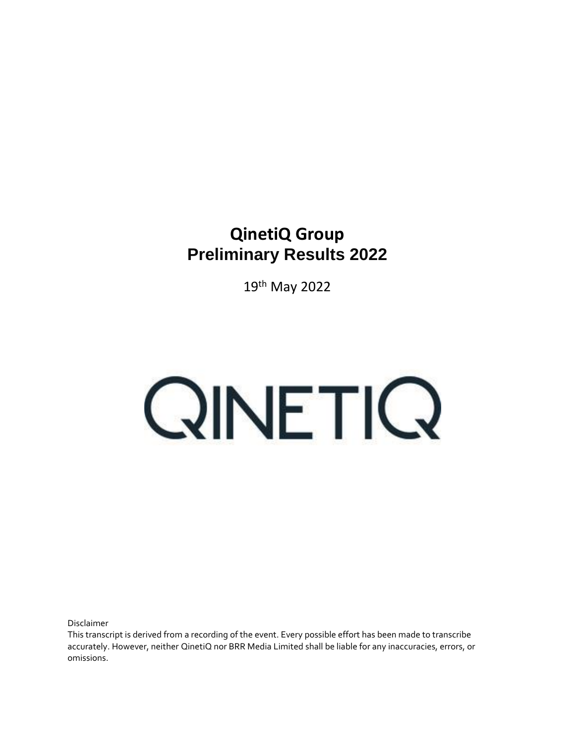## **QinetiQ Group Preliminary Results 2022**

19th May 2022

## QINETIQ

Disclaimer

This transcript is derived from a recording of the event. Every possible effort has been made to transcribe accurately. However, neither QinetiQ nor BRR Media Limited shall be liable for any inaccuracies, errors, or omissions.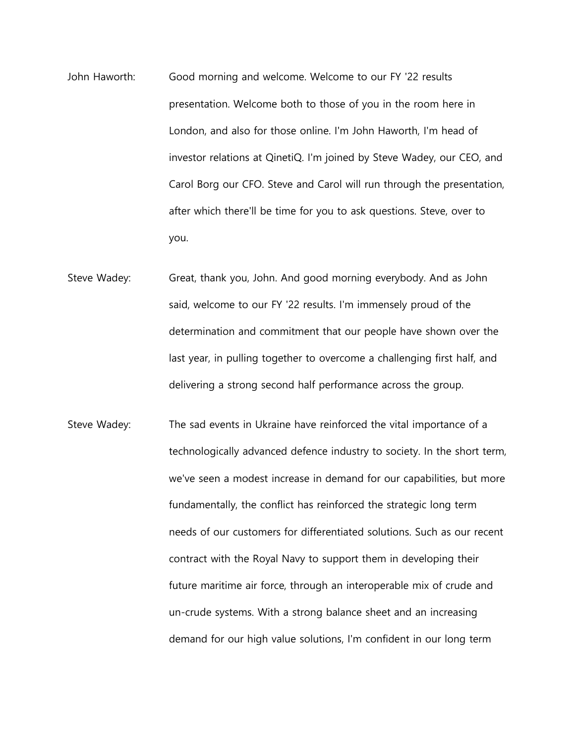- John Haworth: Good morning and welcome. Welcome to our FY '22 results presentation. Welcome both to those of you in the room here in London, and also for those online. I'm John Haworth, I'm head of investor relations at QinetiQ. I'm joined by Steve Wadey, our CEO, and Carol Borg our CFO. Steve and Carol will run through the presentation, after which there'll be time for you to ask questions. Steve, over to you.
- Steve Wadey: Great, thank you, John. And good morning everybody. And as John said, welcome to our FY '22 results. I'm immensely proud of the determination and commitment that our people have shown over the last year, in pulling together to overcome a challenging first half, and delivering a strong second half performance across the group.
- Steve Wadey: The sad events in Ukraine have reinforced the vital importance of a technologically advanced defence industry to society. In the short term, we've seen a modest increase in demand for our capabilities, but more fundamentally, the conflict has reinforced the strategic long term needs of our customers for differentiated solutions. Such as our recent contract with the Royal Navy to support them in developing their future maritime air force, through an interoperable mix of crude and un-crude systems. With a strong balance sheet and an increasing demand for our high value solutions, I'm confident in our long term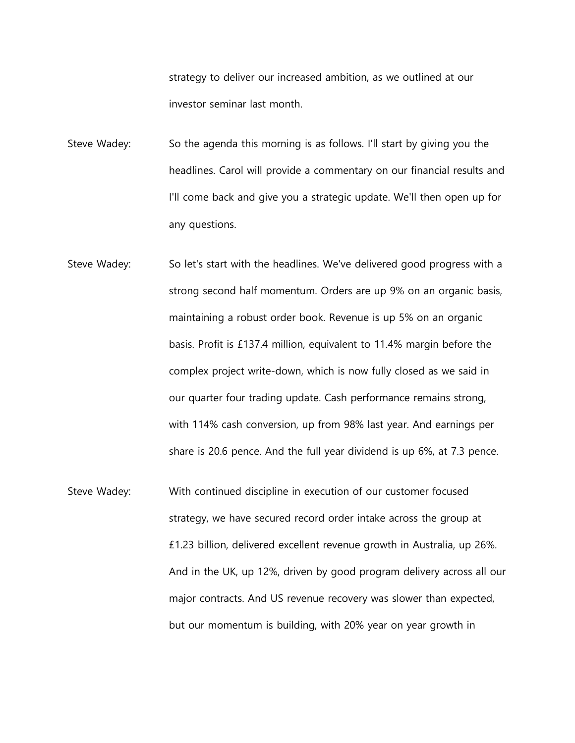strategy to deliver our increased ambition, as we outlined at our investor seminar last month.

Steve Wadey: So the agenda this morning is as follows. I'll start by giving you the headlines. Carol will provide a commentary on our financial results and I'll come back and give you a strategic update. We'll then open up for any questions.

- Steve Wadey: So let's start with the headlines. We've delivered good progress with a strong second half momentum. Orders are up 9% on an organic basis, maintaining a robust order book. Revenue is up 5% on an organic basis. Profit is £137.4 million, equivalent to 11.4% margin before the complex project write-down, which is now fully closed as we said in our quarter four trading update. Cash performance remains strong, with 114% cash conversion, up from 98% last year. And earnings per share is 20.6 pence. And the full year dividend is up 6%, at 7.3 pence.
- Steve Wadey: With continued discipline in execution of our customer focused strategy, we have secured record order intake across the group at £1.23 billion, delivered excellent revenue growth in Australia, up 26%. And in the UK, up 12%, driven by good program delivery across all our major contracts. And US revenue recovery was slower than expected, but our momentum is building, with 20% year on year growth in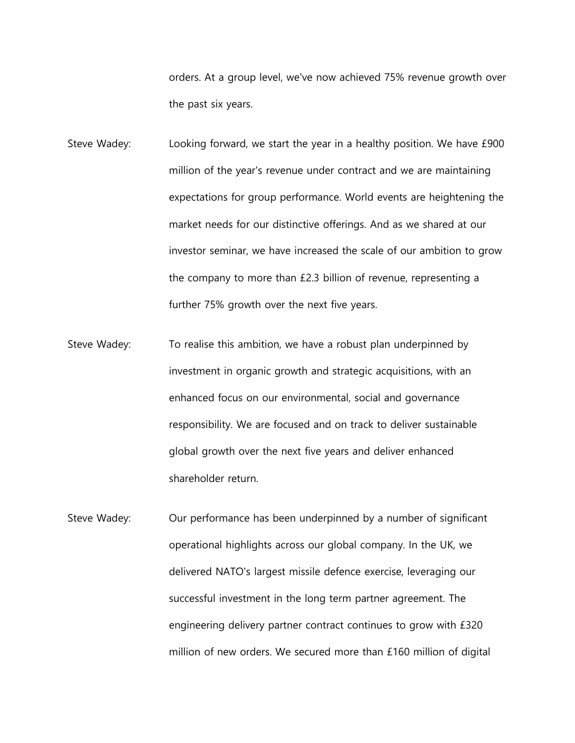orders. At a group level, we've now achieved 75% revenue growth over the past six years.

- Steve Wadey: Looking forward, we start the year in a healthy position. We have £900 million of the year's revenue under contract and we are maintaining expectations for group performance. World events are heightening the market needs for our distinctive offerings. And as we shared at our investor seminar, we have increased the scale of our ambition to grow the company to more than £2.3 billion of revenue, representing a further 75% growth over the next five years.
- Steve Wadey: To realise this ambition, we have a robust plan underpinned by investment in organic growth and strategic acquisitions, with an enhanced focus on our environmental, social and governance responsibility. We are focused and on track to deliver sustainable global growth over the next five years and deliver enhanced shareholder return.
- Steve Wadey: Our performance has been underpinned by a number of significant operational highlights across our global company. In the UK, we delivered NATO's largest missile defence exercise, leveraging our successful investment in the long term partner agreement. The engineering delivery partner contract continues to grow with £320 million of new orders. We secured more than £160 million of digital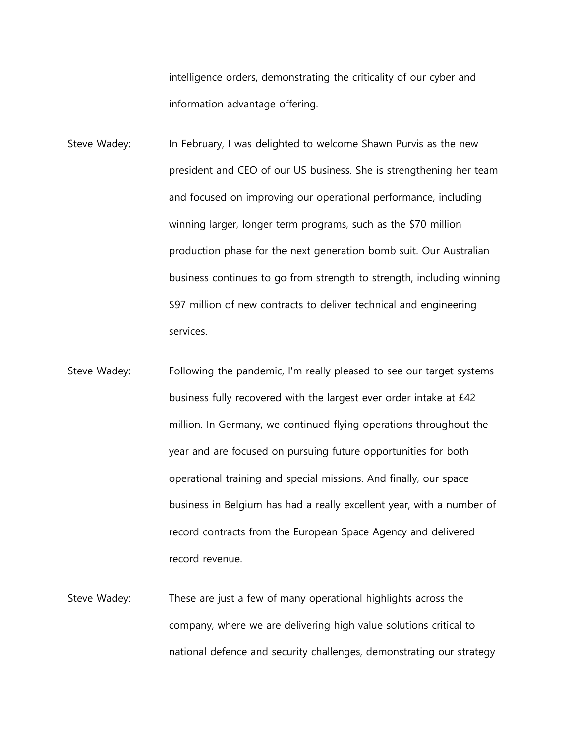intelligence orders, demonstrating the criticality of our cyber and information advantage offering.

Steve Wadey: In February, I was delighted to welcome Shawn Purvis as the new president and CEO of our US business. She is strengthening her team and focused on improving our operational performance, including winning larger, longer term programs, such as the \$70 million production phase for the next generation bomb suit. Our Australian business continues to go from strength to strength, including winning \$97 million of new contracts to deliver technical and engineering services.

- Steve Wadey: Following the pandemic, I'm really pleased to see our target systems business fully recovered with the largest ever order intake at £42 million. In Germany, we continued flying operations throughout the year and are focused on pursuing future opportunities for both operational training and special missions. And finally, our space business in Belgium has had a really excellent year, with a number of record contracts from the European Space Agency and delivered record revenue.
- Steve Wadey: These are just a few of many operational highlights across the company, where we are delivering high value solutions critical to national defence and security challenges, demonstrating our strategy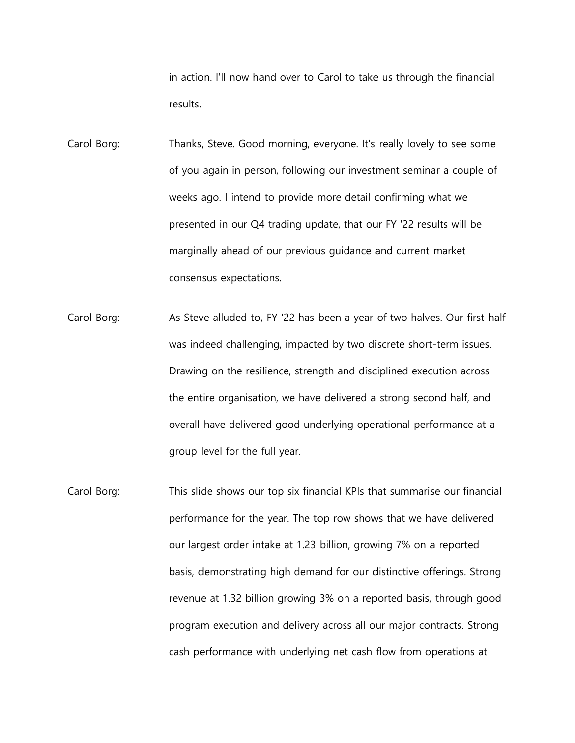in action. I'll now hand over to Carol to take us through the financial results.

- Carol Borg: Thanks, Steve. Good morning, everyone. It's really lovely to see some of you again in person, following our investment seminar a couple of weeks ago. I intend to provide more detail confirming what we presented in our Q4 trading update, that our FY '22 results will be marginally ahead of our previous guidance and current market consensus expectations.
- Carol Borg: As Steve alluded to, FY '22 has been a year of two halves. Our first half was indeed challenging, impacted by two discrete short-term issues. Drawing on the resilience, strength and disciplined execution across the entire organisation, we have delivered a strong second half, and overall have delivered good underlying operational performance at a group level for the full year.
- Carol Borg: This slide shows our top six financial KPIs that summarise our financial performance for the year. The top row shows that we have delivered our largest order intake at 1.23 billion, growing 7% on a reported basis, demonstrating high demand for our distinctive offerings. Strong revenue at 1.32 billion growing 3% on a reported basis, through good program execution and delivery across all our major contracts. Strong cash performance with underlying net cash flow from operations at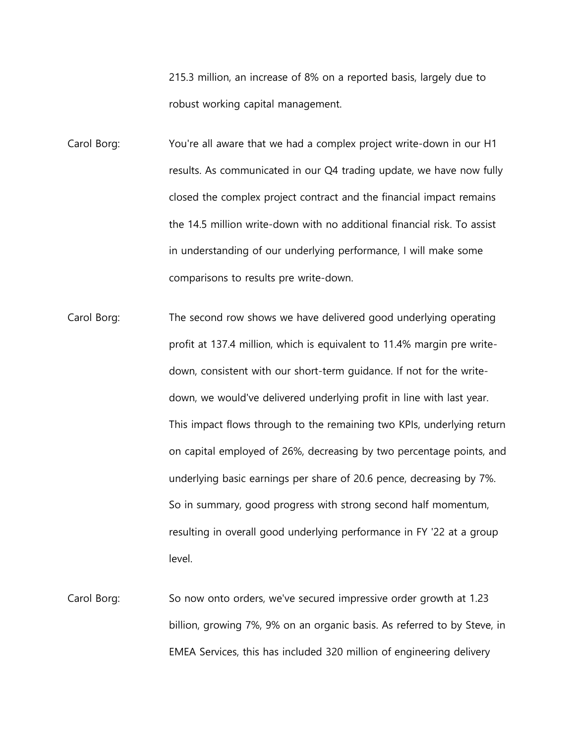215.3 million, an increase of 8% on a reported basis, largely due to robust working capital management.

Carol Borg: You're all aware that we had a complex project write-down in our H1 results. As communicated in our Q4 trading update, we have now fully closed the complex project contract and the financial impact remains the 14.5 million write-down with no additional financial risk. To assist in understanding of our underlying performance, I will make some comparisons to results pre write-down.

- Carol Borg: The second row shows we have delivered good underlying operating profit at 137.4 million, which is equivalent to 11.4% margin pre writedown, consistent with our short-term guidance. If not for the writedown, we would've delivered underlying profit in line with last year. This impact flows through to the remaining two KPIs, underlying return on capital employed of 26%, decreasing by two percentage points, and underlying basic earnings per share of 20.6 pence, decreasing by 7%. So in summary, good progress with strong second half momentum, resulting in overall good underlying performance in FY '22 at a group level.
- Carol Borg: So now onto orders, we've secured impressive order growth at 1.23 billion, growing 7%, 9% on an organic basis. As referred to by Steve, in EMEA Services, this has included 320 million of engineering delivery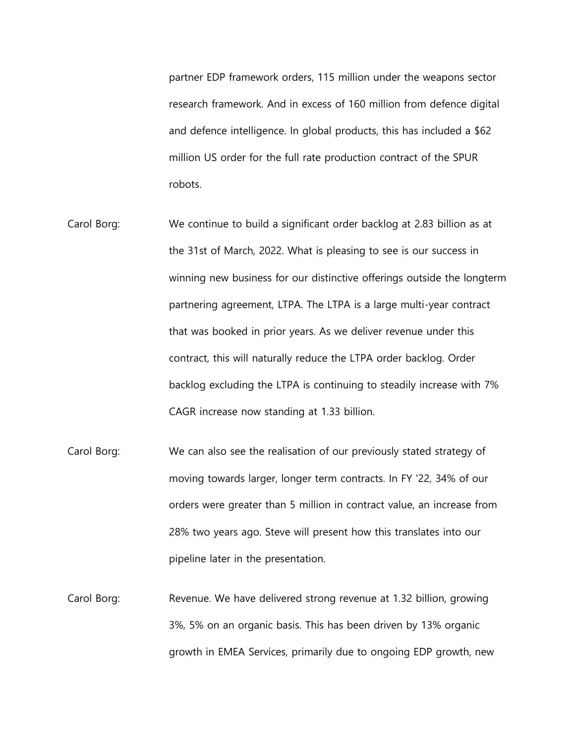partner EDP framework orders, 115 million under the weapons sector research framework. And in excess of 160 million from defence digital and defence intelligence. In global products, this has included a \$62 million US order for the full rate production contract of the SPUR robots.

- Carol Borg: We continue to build a significant order backlog at 2.83 billion as at the 31st of March, 2022. What is pleasing to see is our success in winning new business for our distinctive offerings outside the longterm partnering agreement, LTPA. The LTPA is a large multi-year contract that was booked in prior years. As we deliver revenue under this contract, this will naturally reduce the LTPA order backlog. Order backlog excluding the LTPA is continuing to steadily increase with 7% CAGR increase now standing at 1.33 billion.
- Carol Borg: We can also see the realisation of our previously stated strategy of moving towards larger, longer term contracts. In FY '22, 34% of our orders were greater than 5 million in contract value, an increase from 28% two years ago. Steve will present how this translates into our pipeline later in the presentation.
- Carol Borg: Revenue. We have delivered strong revenue at 1.32 billion, growing 3%, 5% on an organic basis. This has been driven by 13% organic growth in EMEA Services, primarily due to ongoing EDP growth, new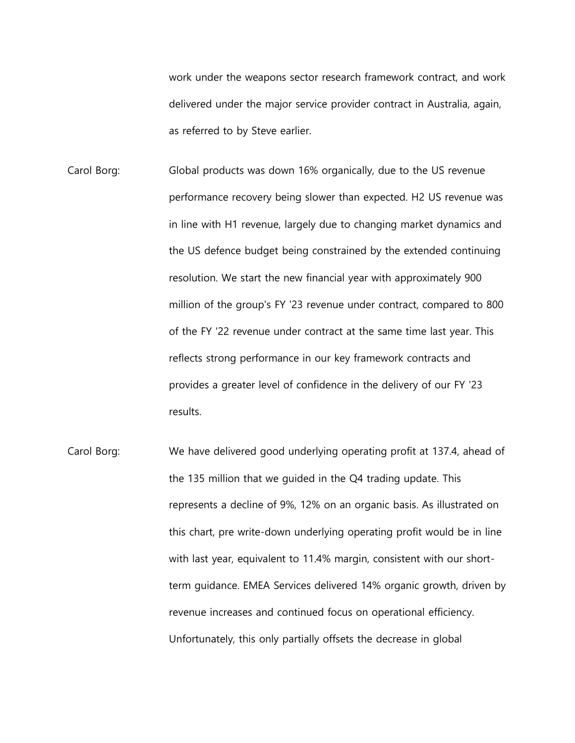work under the weapons sector research framework contract, and work delivered under the major service provider contract in Australia, again, as referred to by Steve earlier.

- Carol Borg: Global products was down 16% organically, due to the US revenue performance recovery being slower than expected. H2 US revenue was in line with H1 revenue, largely due to changing market dynamics and the US defence budget being constrained by the extended continuing resolution. We start the new financial year with approximately 900 million of the group's FY '23 revenue under contract, compared to 800 of the FY '22 revenue under contract at the same time last year. This reflects strong performance in our key framework contracts and provides a greater level of confidence in the delivery of our FY '23 results.
- Carol Borg: We have delivered good underlying operating profit at 137.4, ahead of the 135 million that we guided in the Q4 trading update. This represents a decline of 9%, 12% on an organic basis. As illustrated on this chart, pre write-down underlying operating profit would be in line with last year, equivalent to 11.4% margin, consistent with our shortterm guidance. EMEA Services delivered 14% organic growth, driven by revenue increases and continued focus on operational efficiency. Unfortunately, this only partially offsets the decrease in global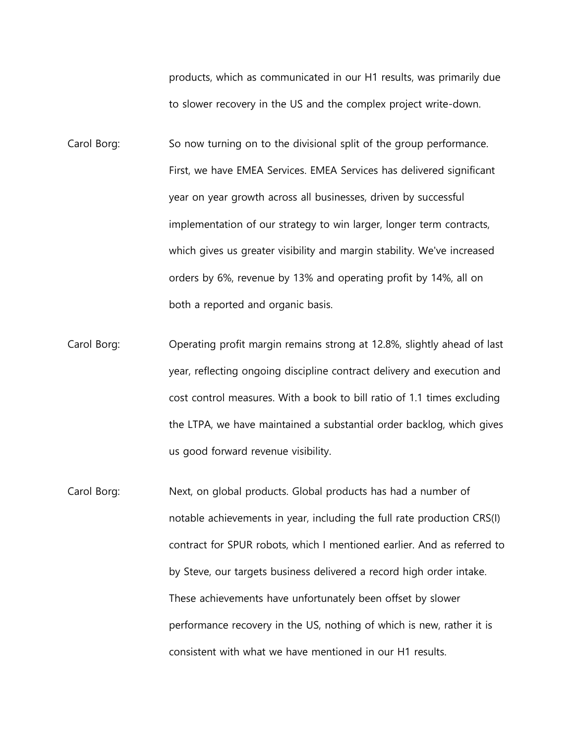products, which as communicated in our H1 results, was primarily due to slower recovery in the US and the complex project write-down.

- Carol Borg: So now turning on to the divisional split of the group performance. First, we have EMEA Services. EMEA Services has delivered significant year on year growth across all businesses, driven by successful implementation of our strategy to win larger, longer term contracts, which gives us greater visibility and margin stability. We've increased orders by 6%, revenue by 13% and operating profit by 14%, all on both a reported and organic basis.
- Carol Borg: Operating profit margin remains strong at 12.8%, slightly ahead of last year, reflecting ongoing discipline contract delivery and execution and cost control measures. With a book to bill ratio of 1.1 times excluding the LTPA, we have maintained a substantial order backlog, which gives us good forward revenue visibility.
- Carol Borg: Next, on global products. Global products has had a number of notable achievements in year, including the full rate production CRS(I) contract for SPUR robots, which I mentioned earlier. And as referred to by Steve, our targets business delivered a record high order intake. These achievements have unfortunately been offset by slower performance recovery in the US, nothing of which is new, rather it is consistent with what we have mentioned in our H1 results.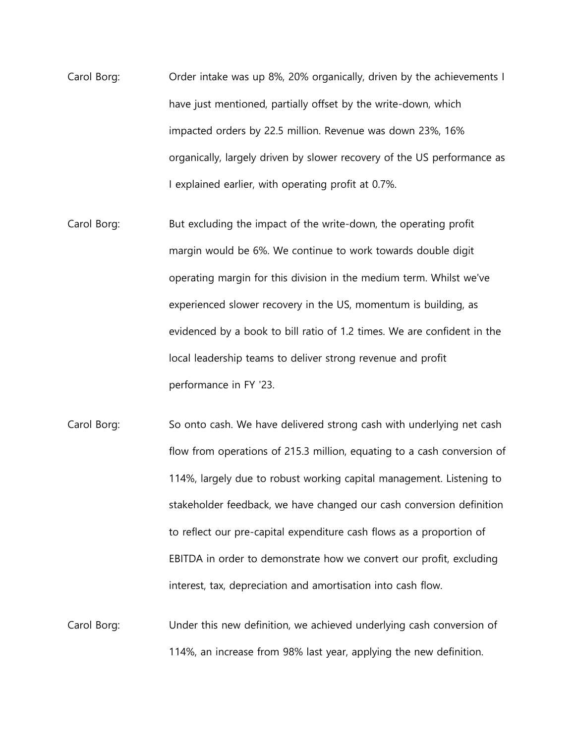- Carol Borg: Order intake was up 8%, 20% organically, driven by the achievements I have just mentioned, partially offset by the write-down, which impacted orders by 22.5 million. Revenue was down 23%, 16% organically, largely driven by slower recovery of the US performance as I explained earlier, with operating profit at 0.7%.
- Carol Borg: But excluding the impact of the write-down, the operating profit margin would be 6%. We continue to work towards double digit operating margin for this division in the medium term. Whilst we've experienced slower recovery in the US, momentum is building, as evidenced by a book to bill ratio of 1.2 times. We are confident in the local leadership teams to deliver strong revenue and profit performance in FY '23.
- Carol Borg: So onto cash. We have delivered strong cash with underlying net cash flow from operations of 215.3 million, equating to a cash conversion of 114%, largely due to robust working capital management. Listening to stakeholder feedback, we have changed our cash conversion definition to reflect our pre-capital expenditure cash flows as a proportion of EBITDA in order to demonstrate how we convert our profit, excluding interest, tax, depreciation and amortisation into cash flow.
- Carol Borg: Under this new definition, we achieved underlying cash conversion of 114%, an increase from 98% last year, applying the new definition.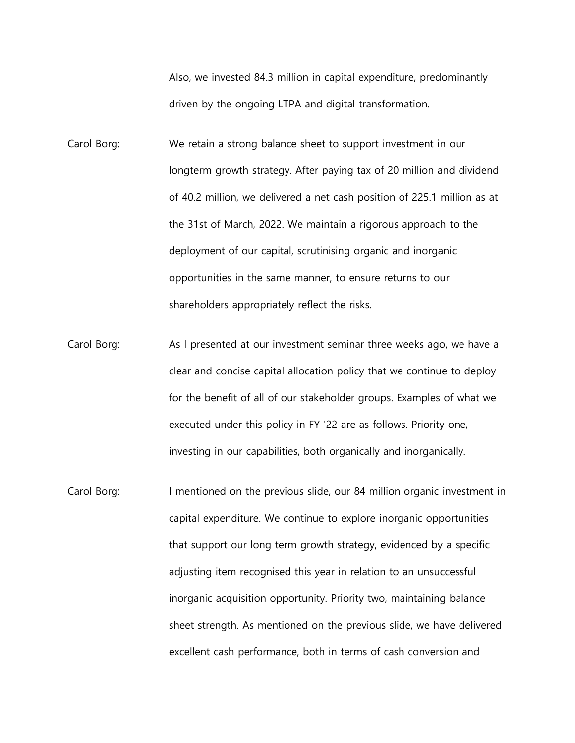Also, we invested 84.3 million in capital expenditure, predominantly driven by the ongoing LTPA and digital transformation.

Carol Borg: We retain a strong balance sheet to support investment in our longterm growth strategy. After paying tax of 20 million and dividend of 40.2 million, we delivered a net cash position of 225.1 million as at the 31st of March, 2022. We maintain a rigorous approach to the deployment of our capital, scrutinising organic and inorganic opportunities in the same manner, to ensure returns to our shareholders appropriately reflect the risks.

- Carol Borg: As I presented at our investment seminar three weeks ago, we have a clear and concise capital allocation policy that we continue to deploy for the benefit of all of our stakeholder groups. Examples of what we executed under this policy in FY '22 are as follows. Priority one, investing in our capabilities, both organically and inorganically.
- Carol Borg: I mentioned on the previous slide, our 84 million organic investment in capital expenditure. We continue to explore inorganic opportunities that support our long term growth strategy, evidenced by a specific adjusting item recognised this year in relation to an unsuccessful inorganic acquisition opportunity. Priority two, maintaining balance sheet strength. As mentioned on the previous slide, we have delivered excellent cash performance, both in terms of cash conversion and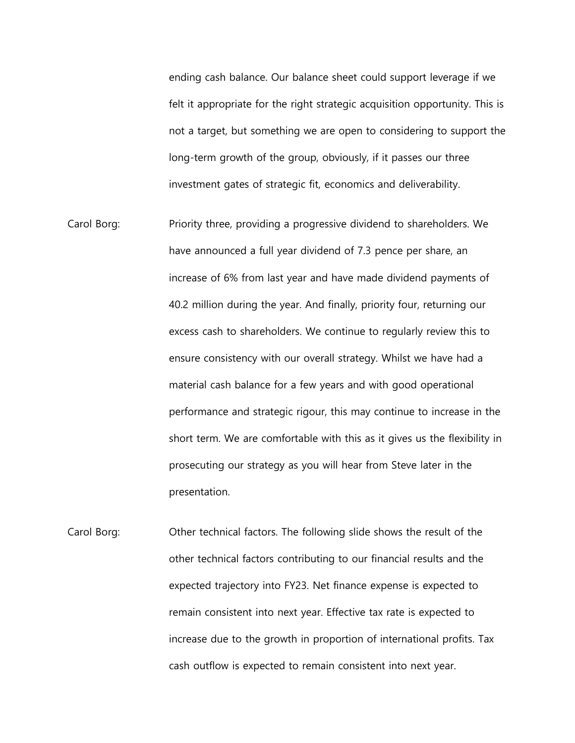ending cash balance. Our balance sheet could support leverage if we felt it appropriate for the right strategic acquisition opportunity. This is not a target, but something we are open to considering to support the long-term growth of the group, obviously, if it passes our three investment gates of strategic fit, economics and deliverability.

- Carol Borg: Priority three, providing a progressive dividend to shareholders. We have announced a full year dividend of 7.3 pence per share, an increase of 6% from last year and have made dividend payments of 40.2 million during the year. And finally, priority four, returning our excess cash to shareholders. We continue to regularly review this to ensure consistency with our overall strategy. Whilst we have had a material cash balance for a few years and with good operational performance and strategic rigour, this may continue to increase in the short term. We are comfortable with this as it gives us the flexibility in prosecuting our strategy as you will hear from Steve later in the presentation.
- Carol Borg: Other technical factors. The following slide shows the result of the other technical factors contributing to our financial results and the expected trajectory into FY23. Net finance expense is expected to remain consistent into next year. Effective tax rate is expected to increase due to the growth in proportion of international profits. Tax cash outflow is expected to remain consistent into next year.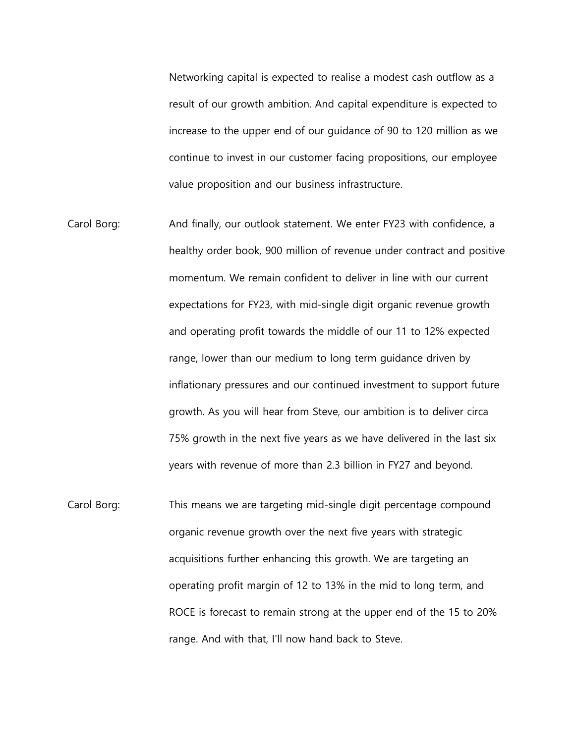Networking capital is expected to realise a modest cash outflow as a result of our growth ambition. And capital expenditure is expected to increase to the upper end of our guidance of 90 to 120 million as we continue to invest in our customer facing propositions, our employee value proposition and our business infrastructure.

- Carol Borg: And finally, our outlook statement. We enter FY23 with confidence, a healthy order book, 900 million of revenue under contract and positive momentum. We remain confident to deliver in line with our current expectations for FY23, with mid-single digit organic revenue growth and operating profit towards the middle of our 11 to 12% expected range, lower than our medium to long term guidance driven by inflationary pressures and our continued investment to support future growth. As you will hear from Steve, our ambition is to deliver circa 75% growth in the next five years as we have delivered in the last six years with revenue of more than 2.3 billion in FY27 and beyond.
- Carol Borg: This means we are targeting mid-single digit percentage compound organic revenue growth over the next five years with strategic acquisitions further enhancing this growth. We are targeting an operating profit margin of 12 to 13% in the mid to long term, and ROCE is forecast to remain strong at the upper end of the 15 to 20% range. And with that, I'll now hand back to Steve.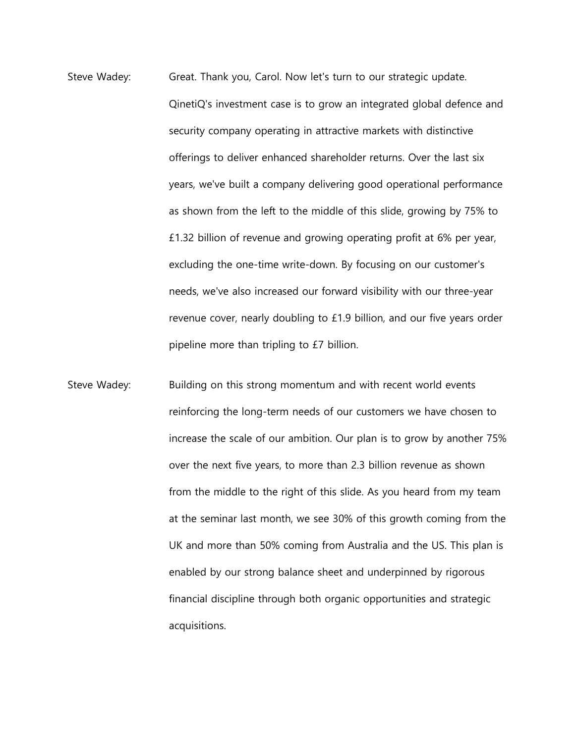- Steve Wadey: Great. Thank you, Carol. Now let's turn to our strategic update. QinetiQ's investment case is to grow an integrated global defence and security company operating in attractive markets with distinctive offerings to deliver enhanced shareholder returns. Over the last six years, we've built a company delivering good operational performance as shown from the left to the middle of this slide, growing by 75% to £1.32 billion of revenue and growing operating profit at 6% per year, excluding the one-time write-down. By focusing on our customer's needs, we've also increased our forward visibility with our three-year revenue cover, nearly doubling to £1.9 billion, and our five years order pipeline more than tripling to £7 billion.
- Steve Wadey: Building on this strong momentum and with recent world events reinforcing the long-term needs of our customers we have chosen to increase the scale of our ambition. Our plan is to grow by another 75% over the next five years, to more than 2.3 billion revenue as shown from the middle to the right of this slide. As you heard from my team at the seminar last month, we see 30% of this growth coming from the UK and more than 50% coming from Australia and the US. This plan is enabled by our strong balance sheet and underpinned by rigorous financial discipline through both organic opportunities and strategic acquisitions.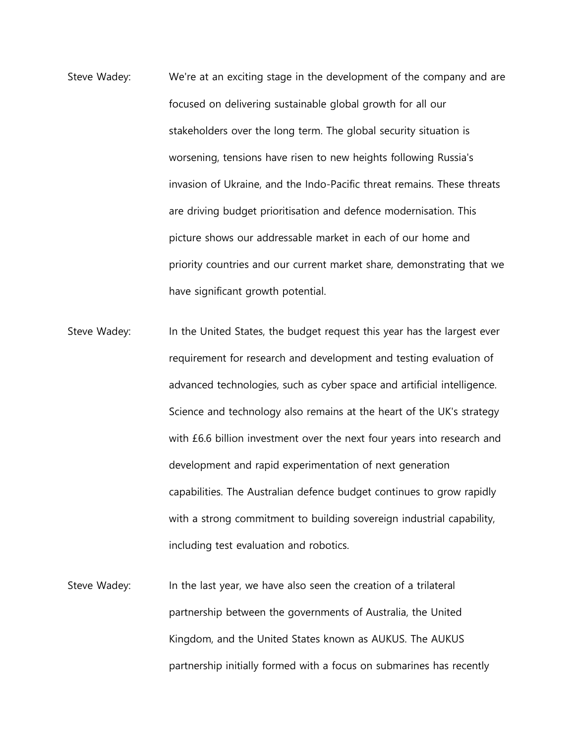- Steve Wadey: We're at an exciting stage in the development of the company and are focused on delivering sustainable global growth for all our stakeholders over the long term. The global security situation is worsening, tensions have risen to new heights following Russia's invasion of Ukraine, and the Indo-Pacific threat remains. These threats are driving budget prioritisation and defence modernisation. This picture shows our addressable market in each of our home and priority countries and our current market share, demonstrating that we have significant growth potential.
- Steve Wadey: In the United States, the budget request this year has the largest ever requirement for research and development and testing evaluation of advanced technologies, such as cyber space and artificial intelligence. Science and technology also remains at the heart of the UK's strategy with £6.6 billion investment over the next four years into research and development and rapid experimentation of next generation capabilities. The Australian defence budget continues to grow rapidly with a strong commitment to building sovereign industrial capability, including test evaluation and robotics.
- Steve Wadey: In the last year, we have also seen the creation of a trilateral partnership between the governments of Australia, the United Kingdom, and the United States known as AUKUS. The AUKUS partnership initially formed with a focus on submarines has recently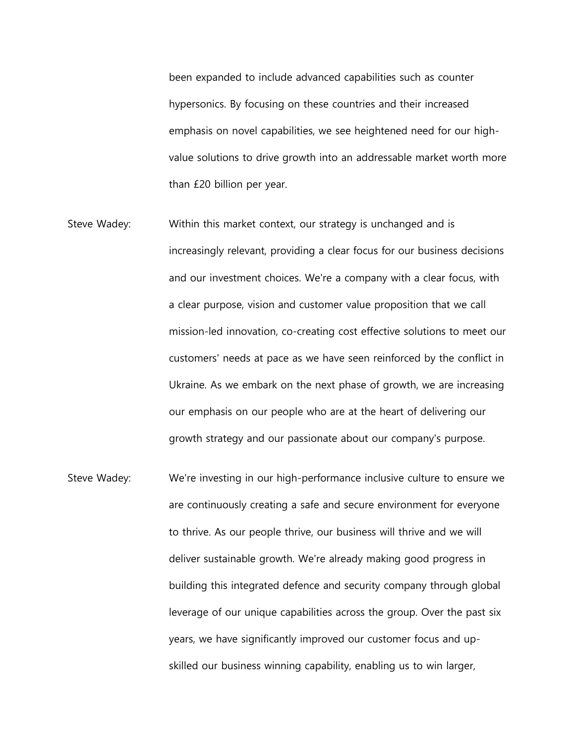been expanded to include advanced capabilities such as counter hypersonics. By focusing on these countries and their increased emphasis on novel capabilities, we see heightened need for our highvalue solutions to drive growth into an addressable market worth more than £20 billion per year.

- Steve Wadey: Within this market context, our strategy is unchanged and is increasingly relevant, providing a clear focus for our business decisions and our investment choices. We're a company with a clear focus, with a clear purpose, vision and customer value proposition that we call mission-led innovation, co-creating cost effective solutions to meet our customers' needs at pace as we have seen reinforced by the conflict in Ukraine. As we embark on the next phase of growth, we are increasing our emphasis on our people who are at the heart of delivering our growth strategy and our passionate about our company's purpose.
- Steve Wadey: We're investing in our high-performance inclusive culture to ensure we are continuously creating a safe and secure environment for everyone to thrive. As our people thrive, our business will thrive and we will deliver sustainable growth. We're already making good progress in building this integrated defence and security company through global leverage of our unique capabilities across the group. Over the past six years, we have significantly improved our customer focus and upskilled our business winning capability, enabling us to win larger,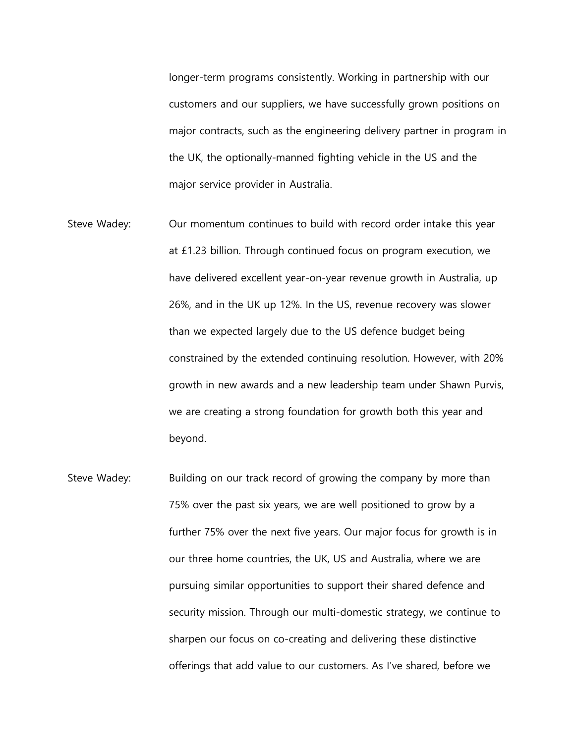longer-term programs consistently. Working in partnership with our customers and our suppliers, we have successfully grown positions on major contracts, such as the engineering delivery partner in program in the UK, the optionally-manned fighting vehicle in the US and the major service provider in Australia.

- Steve Wadey: Our momentum continues to build with record order intake this year at £1.23 billion. Through continued focus on program execution, we have delivered excellent year-on-year revenue growth in Australia, up 26%, and in the UK up 12%. In the US, revenue recovery was slower than we expected largely due to the US defence budget being constrained by the extended continuing resolution. However, with 20% growth in new awards and a new leadership team under Shawn Purvis, we are creating a strong foundation for growth both this year and beyond.
- Steve Wadey: Building on our track record of growing the company by more than 75% over the past six years, we are well positioned to grow by a further 75% over the next five years. Our major focus for growth is in our three home countries, the UK, US and Australia, where we are pursuing similar opportunities to support their shared defence and security mission. Through our multi-domestic strategy, we continue to sharpen our focus on co-creating and delivering these distinctive offerings that add value to our customers. As I've shared, before we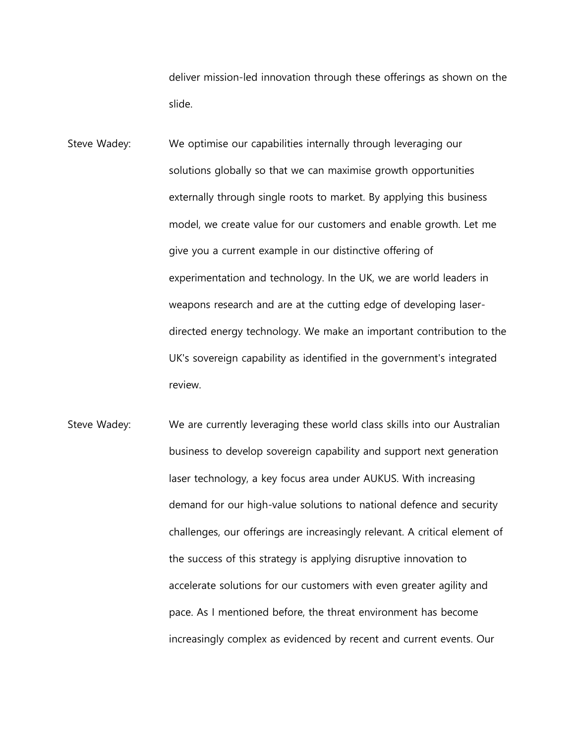deliver mission-led innovation through these offerings as shown on the slide.

- Steve Wadey: We optimise our capabilities internally through leveraging our solutions globally so that we can maximise growth opportunities externally through single roots to market. By applying this business model, we create value for our customers and enable growth. Let me give you a current example in our distinctive offering of experimentation and technology. In the UK, we are world leaders in weapons research and are at the cutting edge of developing laserdirected energy technology. We make an important contribution to the UK's sovereign capability as identified in the government's integrated review.
- Steve Wadey: We are currently leveraging these world class skills into our Australian business to develop sovereign capability and support next generation laser technology, a key focus area under AUKUS. With increasing demand for our high-value solutions to national defence and security challenges, our offerings are increasingly relevant. A critical element of the success of this strategy is applying disruptive innovation to accelerate solutions for our customers with even greater agility and pace. As I mentioned before, the threat environment has become increasingly complex as evidenced by recent and current events. Our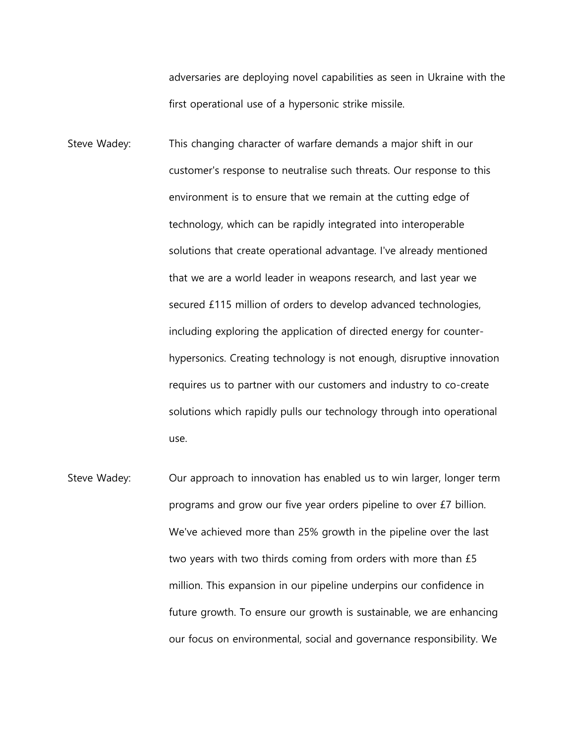adversaries are deploying novel capabilities as seen in Ukraine with the first operational use of a hypersonic strike missile.

- Steve Wadey: This changing character of warfare demands a major shift in our customer's response to neutralise such threats. Our response to this environment is to ensure that we remain at the cutting edge of technology, which can be rapidly integrated into interoperable solutions that create operational advantage. I've already mentioned that we are a world leader in weapons research, and last year we secured £115 million of orders to develop advanced technologies, including exploring the application of directed energy for counterhypersonics. Creating technology is not enough, disruptive innovation requires us to partner with our customers and industry to co-create solutions which rapidly pulls our technology through into operational use.
- Steve Wadey: Our approach to innovation has enabled us to win larger, longer term programs and grow our five year orders pipeline to over £7 billion. We've achieved more than 25% growth in the pipeline over the last two years with two thirds coming from orders with more than £5 million. This expansion in our pipeline underpins our confidence in future growth. To ensure our growth is sustainable, we are enhancing our focus on environmental, social and governance responsibility. We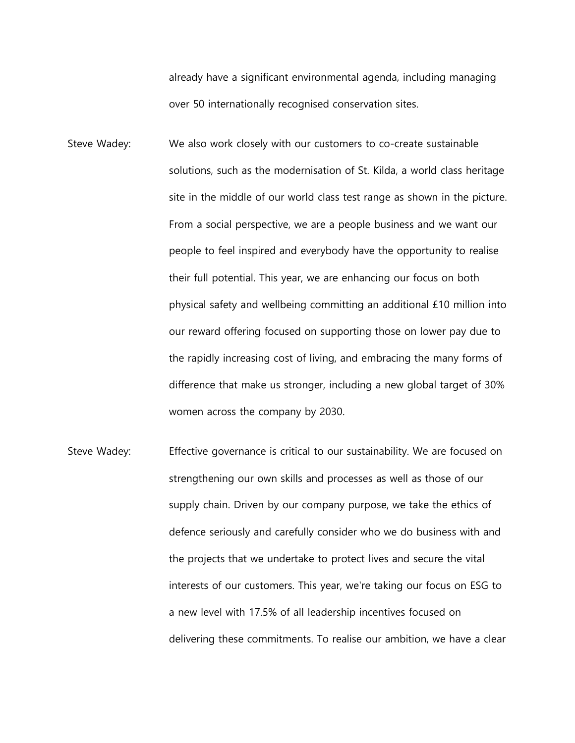already have a significant environmental agenda, including managing over 50 internationally recognised conservation sites.

- Steve Wadey: We also work closely with our customers to co-create sustainable solutions, such as the modernisation of St. Kilda, a world class heritage site in the middle of our world class test range as shown in the picture. From a social perspective, we are a people business and we want our people to feel inspired and everybody have the opportunity to realise their full potential. This year, we are enhancing our focus on both physical safety and wellbeing committing an additional £10 million into our reward offering focused on supporting those on lower pay due to the rapidly increasing cost of living, and embracing the many forms of difference that make us stronger, including a new global target of 30% women across the company by 2030.
- Steve Wadey: Effective governance is critical to our sustainability. We are focused on strengthening our own skills and processes as well as those of our supply chain. Driven by our company purpose, we take the ethics of defence seriously and carefully consider who we do business with and the projects that we undertake to protect lives and secure the vital interests of our customers. This year, we're taking our focus on ESG to a new level with 17.5% of all leadership incentives focused on delivering these commitments. To realise our ambition, we have a clear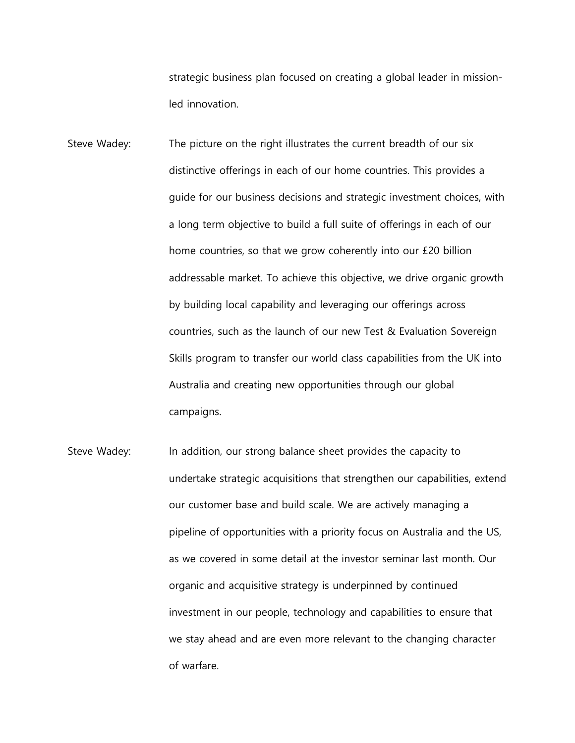strategic business plan focused on creating a global leader in missionled innovation.

- Steve Wadey: The picture on the right illustrates the current breadth of our six distinctive offerings in each of our home countries. This provides a guide for our business decisions and strategic investment choices, with a long term objective to build a full suite of offerings in each of our home countries, so that we grow coherently into our £20 billion addressable market. To achieve this objective, we drive organic growth by building local capability and leveraging our offerings across countries, such as the launch of our new Test & Evaluation Sovereign Skills program to transfer our world class capabilities from the UK into Australia and creating new opportunities through our global campaigns.
- Steve Wadey: In addition, our strong balance sheet provides the capacity to undertake strategic acquisitions that strengthen our capabilities, extend our customer base and build scale. We are actively managing a pipeline of opportunities with a priority focus on Australia and the US, as we covered in some detail at the investor seminar last month. Our organic and acquisitive strategy is underpinned by continued investment in our people, technology and capabilities to ensure that we stay ahead and are even more relevant to the changing character of warfare.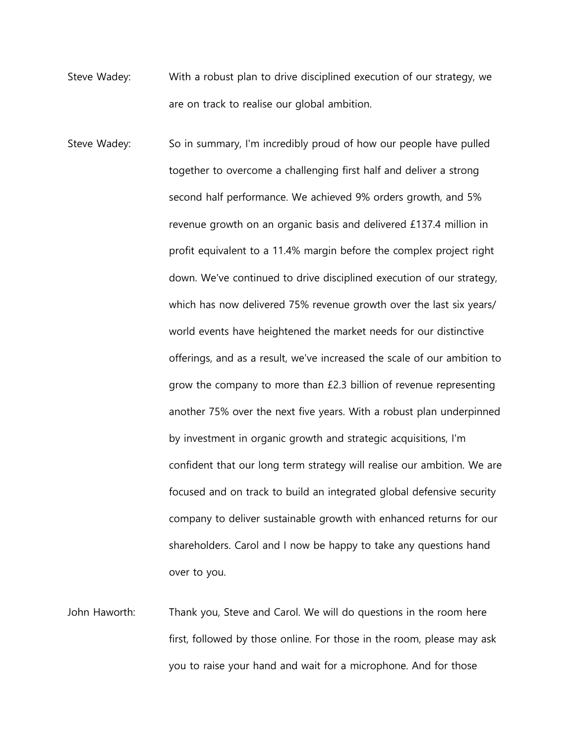- Steve Wadey: With a robust plan to drive disciplined execution of our strategy, we are on track to realise our global ambition.
- Steve Wadey: So in summary, I'm incredibly proud of how our people have pulled together to overcome a challenging first half and deliver a strong second half performance. We achieved 9% orders growth, and 5% revenue growth on an organic basis and delivered £137.4 million in profit equivalent to a 11.4% margin before the complex project right down. We've continued to drive disciplined execution of our strategy, which has now delivered 75% revenue growth over the last six years/ world events have heightened the market needs for our distinctive offerings, and as a result, we've increased the scale of our ambition to grow the company to more than £2.3 billion of revenue representing another 75% over the next five years. With a robust plan underpinned by investment in organic growth and strategic acquisitions, I'm confident that our long term strategy will realise our ambition. We are focused and on track to build an integrated global defensive security company to deliver sustainable growth with enhanced returns for our shareholders. Carol and I now be happy to take any questions hand over to you.
- John Haworth: Thank you, Steve and Carol. We will do questions in the room here first, followed by those online. For those in the room, please may ask you to raise your hand and wait for a microphone. And for those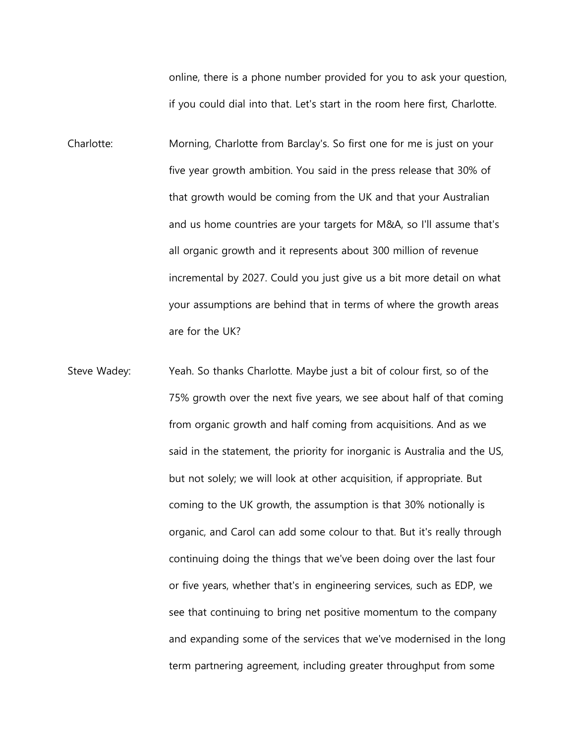online, there is a phone number provided for you to ask your question, if you could dial into that. Let's start in the room here first, Charlotte.

- Charlotte: Morning, Charlotte from Barclay's. So first one for me is just on your five year growth ambition. You said in the press release that 30% of that growth would be coming from the UK and that your Australian and us home countries are your targets for M&A, so I'll assume that's all organic growth and it represents about 300 million of revenue incremental by 2027. Could you just give us a bit more detail on what your assumptions are behind that in terms of where the growth areas are for the UK?
- Steve Wadey: Yeah. So thanks Charlotte. Maybe just a bit of colour first, so of the 75% growth over the next five years, we see about half of that coming from organic growth and half coming from acquisitions. And as we said in the statement, the priority for inorganic is Australia and the US, but not solely; we will look at other acquisition, if appropriate. But coming to the UK growth, the assumption is that 30% notionally is organic, and Carol can add some colour to that. But it's really through continuing doing the things that we've been doing over the last four or five years, whether that's in engineering services, such as EDP, we see that continuing to bring net positive momentum to the company and expanding some of the services that we've modernised in the long term partnering agreement, including greater throughput from some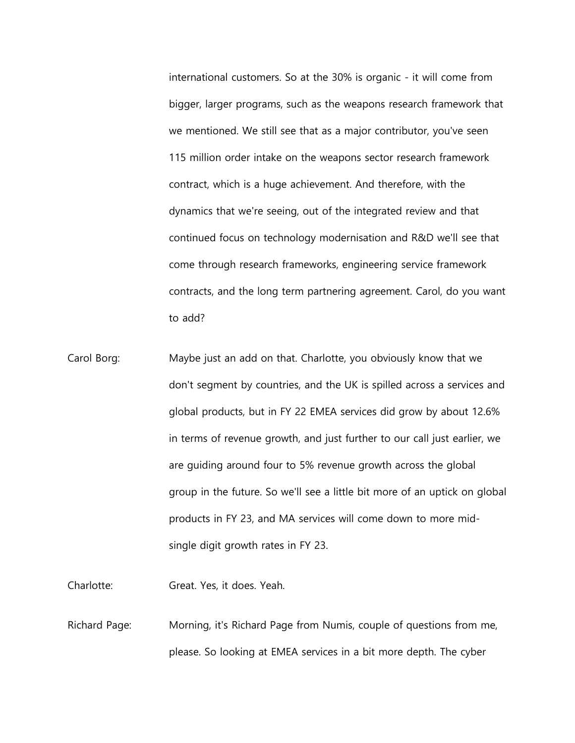international customers. So at the 30% is organic - it will come from bigger, larger programs, such as the weapons research framework that we mentioned. We still see that as a major contributor, you've seen 115 million order intake on the weapons sector research framework contract, which is a huge achievement. And therefore, with the dynamics that we're seeing, out of the integrated review and that continued focus on technology modernisation and R&D we'll see that come through research frameworks, engineering service framework contracts, and the long term partnering agreement. Carol, do you want to add?

Carol Borg: Maybe just an add on that. Charlotte, you obviously know that we don't segment by countries, and the UK is spilled across a services and global products, but in FY 22 EMEA services did grow by about 12.6% in terms of revenue growth, and just further to our call just earlier, we are guiding around four to 5% revenue growth across the global group in the future. So we'll see a little bit more of an uptick on global products in FY 23, and MA services will come down to more midsingle digit growth rates in FY 23.

Charlotte: Great. Yes, it does. Yeah.

Richard Page: Morning, it's Richard Page from Numis, couple of questions from me, please. So looking at EMEA services in a bit more depth. The cyber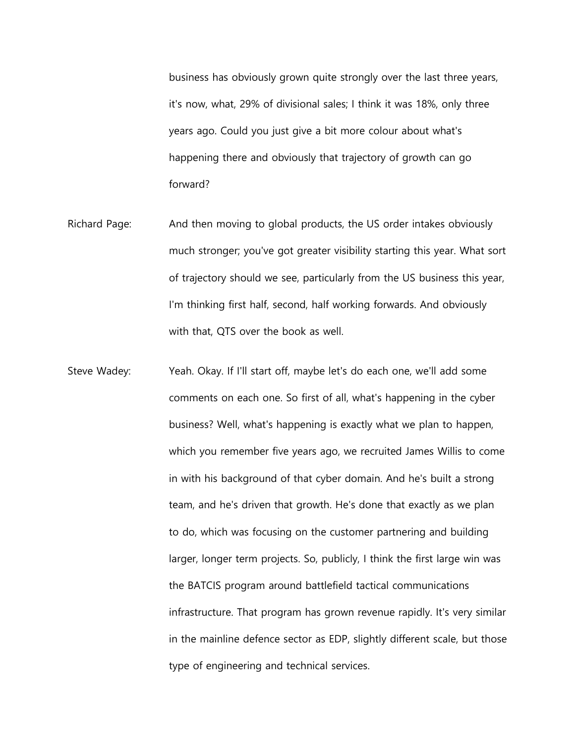business has obviously grown quite strongly over the last three years, it's now, what, 29% of divisional sales; I think it was 18%, only three years ago. Could you just give a bit more colour about what's happening there and obviously that trajectory of growth can go forward?

- Richard Page: And then moving to global products, the US order intakes obviously much stronger; you've got greater visibility starting this year. What sort of trajectory should we see, particularly from the US business this year, I'm thinking first half, second, half working forwards. And obviously with that, QTS over the book as well.
- Steve Wadey: Yeah. Okay. If I'll start off, maybe let's do each one, we'll add some comments on each one. So first of all, what's happening in the cyber business? Well, what's happening is exactly what we plan to happen, which you remember five years ago, we recruited James Willis to come in with his background of that cyber domain. And he's built a strong team, and he's driven that growth. He's done that exactly as we plan to do, which was focusing on the customer partnering and building larger, longer term projects. So, publicly, I think the first large win was the BATCIS program around battlefield tactical communications infrastructure. That program has grown revenue rapidly. It's very similar in the mainline defence sector as EDP, slightly different scale, but those type of engineering and technical services.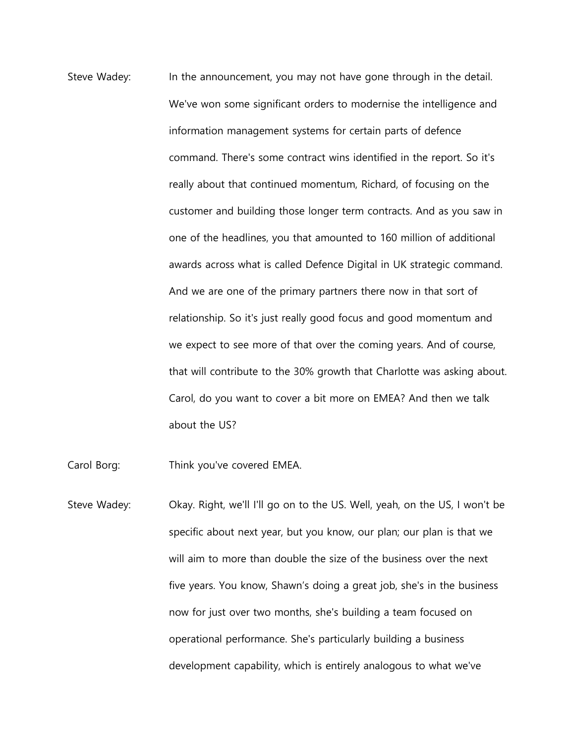Steve Wadey: In the announcement, you may not have gone through in the detail. We've won some significant orders to modernise the intelligence and information management systems for certain parts of defence command. There's some contract wins identified in the report. So it's really about that continued momentum, Richard, of focusing on the customer and building those longer term contracts. And as you saw in one of the headlines, you that amounted to 160 million of additional awards across what is called Defence Digital in UK strategic command. And we are one of the primary partners there now in that sort of relationship. So it's just really good focus and good momentum and we expect to see more of that over the coming years. And of course, that will contribute to the 30% growth that Charlotte was asking about. Carol, do you want to cover a bit more on EMEA? And then we talk about the US?

Carol Borg: Think you've covered EMEA.

Steve Wadey: Okay. Right, we'll I'll go on to the US. Well, yeah, on the US, I won't be specific about next year, but you know, our plan; our plan is that we will aim to more than double the size of the business over the next five years. You know, Shawn's doing a great job, she's in the business now for just over two months, she's building a team focused on operational performance. She's particularly building a business development capability, which is entirely analogous to what we've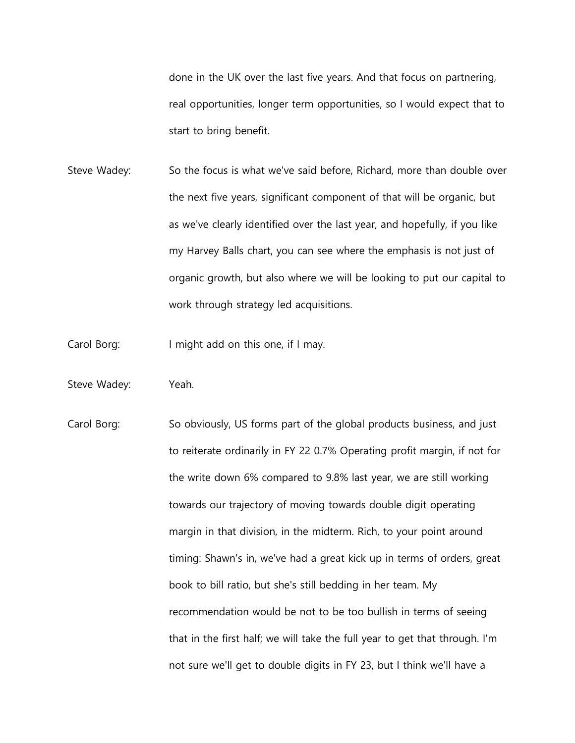done in the UK over the last five years. And that focus on partnering, real opportunities, longer term opportunities, so I would expect that to start to bring benefit.

- Steve Wadey: So the focus is what we've said before, Richard, more than double over the next five years, significant component of that will be organic, but as we've clearly identified over the last year, and hopefully, if you like my Harvey Balls chart, you can see where the emphasis is not just of organic growth, but also where we will be looking to put our capital to work through strategy led acquisitions.
- Carol Borg: I might add on this one, if I may.
- Steve Wadey: Yeah.
- Carol Borg: So obviously, US forms part of the global products business, and just to reiterate ordinarily in FY 22 0.7% Operating profit margin, if not for the write down 6% compared to 9.8% last year, we are still working towards our trajectory of moving towards double digit operating margin in that division, in the midterm. Rich, to your point around timing: Shawn's in, we've had a great kick up in terms of orders, great book to bill ratio, but she's still bedding in her team. My recommendation would be not to be too bullish in terms of seeing that in the first half; we will take the full year to get that through. I'm not sure we'll get to double digits in FY 23, but I think we'll have a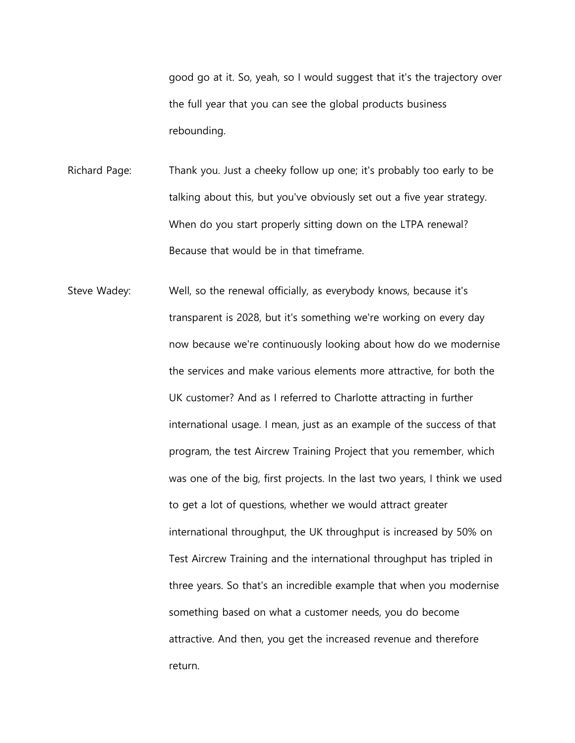good go at it. So, yeah, so I would suggest that it's the trajectory over the full year that you can see the global products business rebounding.

Richard Page: Thank you. Just a cheeky follow up one; it's probably too early to be talking about this, but you've obviously set out a five year strategy. When do you start properly sitting down on the LTPA renewal? Because that would be in that timeframe.

Steve Wadey: Well, so the renewal officially, as everybody knows, because it's transparent is 2028, but it's something we're working on every day now because we're continuously looking about how do we modernise the services and make various elements more attractive, for both the UK customer? And as I referred to Charlotte attracting in further international usage. I mean, just as an example of the success of that program, the test Aircrew Training Project that you remember, which was one of the big, first projects. In the last two years, I think we used to get a lot of questions, whether we would attract greater international throughput, the UK throughput is increased by 50% on Test Aircrew Training and the international throughput has tripled in three years. So that's an incredible example that when you modernise something based on what a customer needs, you do become attractive. And then, you get the increased revenue and therefore return.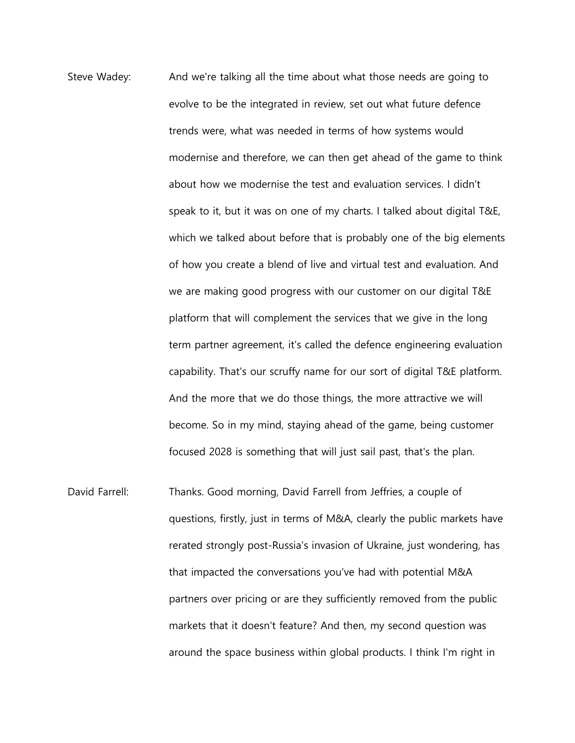- Steve Wadey: And we're talking all the time about what those needs are going to evolve to be the integrated in review, set out what future defence trends were, what was needed in terms of how systems would modernise and therefore, we can then get ahead of the game to think about how we modernise the test and evaluation services. I didn't speak to it, but it was on one of my charts. I talked about digital T&E, which we talked about before that is probably one of the big elements of how you create a blend of live and virtual test and evaluation. And we are making good progress with our customer on our digital T&E platform that will complement the services that we give in the long term partner agreement, it's called the defence engineering evaluation capability. That's our scruffy name for our sort of digital T&E platform. And the more that we do those things, the more attractive we will become. So in my mind, staying ahead of the game, being customer focused 2028 is something that will just sail past, that's the plan.
- David Farrell: Thanks. Good morning, David Farrell from Jeffries, a couple of questions, firstly, just in terms of M&A, clearly the public markets have rerated strongly post-Russia's invasion of Ukraine, just wondering, has that impacted the conversations you've had with potential M&A partners over pricing or are they sufficiently removed from the public markets that it doesn't feature? And then, my second question was around the space business within global products. I think I'm right in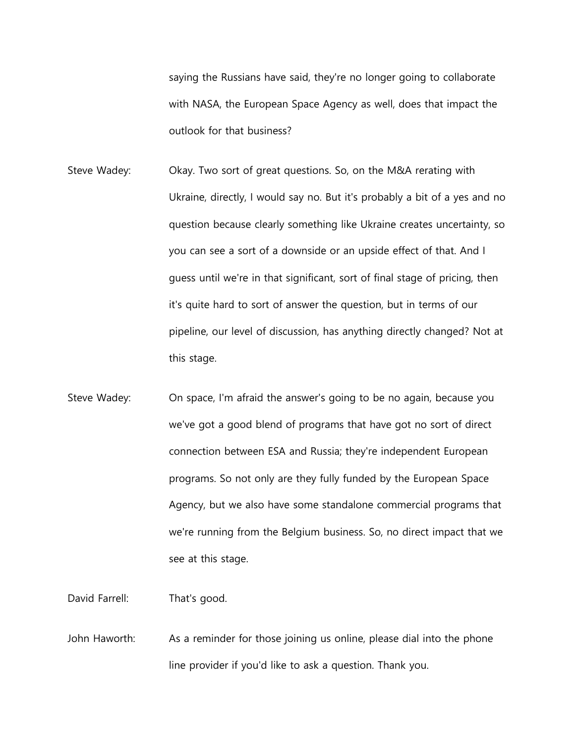saying the Russians have said, they're no longer going to collaborate with NASA, the European Space Agency as well, does that impact the outlook for that business?

- Steve Wadey: Okay. Two sort of great questions. So, on the M&A rerating with Ukraine, directly, I would say no. But it's probably a bit of a yes and no question because clearly something like Ukraine creates uncertainty, so you can see a sort of a downside or an upside effect of that. And I guess until we're in that significant, sort of final stage of pricing, then it's quite hard to sort of answer the question, but in terms of our pipeline, our level of discussion, has anything directly changed? Not at this stage.
- Steve Wadey: On space, I'm afraid the answer's going to be no again, because you we've got a good blend of programs that have got no sort of direct connection between ESA and Russia; they're independent European programs. So not only are they fully funded by the European Space Agency, but we also have some standalone commercial programs that we're running from the Belgium business. So, no direct impact that we see at this stage.

David Farrell: That's good.

John Haworth: As a reminder for those joining us online, please dial into the phone line provider if you'd like to ask a question. Thank you.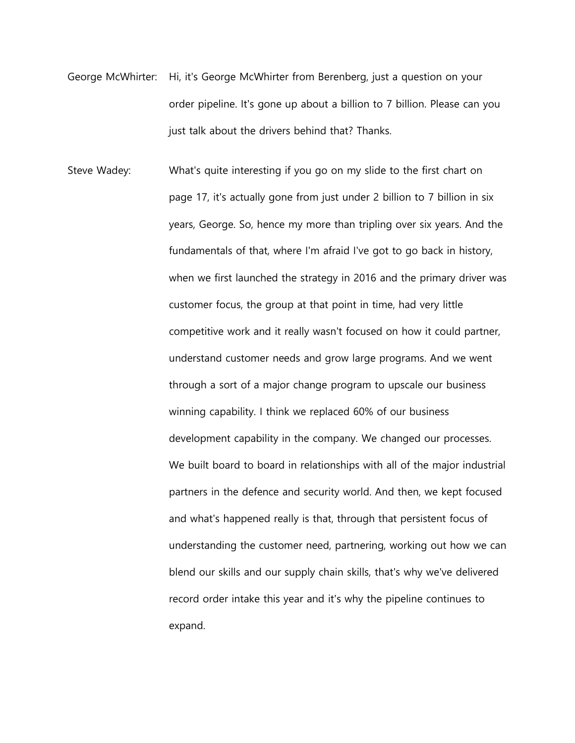- George McWhirter: Hi, it's George McWhirter from Berenberg, just a question on your order pipeline. It's gone up about a billion to 7 billion. Please can you just talk about the drivers behind that? Thanks.
- Steve Wadey: What's quite interesting if you go on my slide to the first chart on page 17, it's actually gone from just under 2 billion to 7 billion in six years, George. So, hence my more than tripling over six years. And the fundamentals of that, where I'm afraid I've got to go back in history, when we first launched the strategy in 2016 and the primary driver was customer focus, the group at that point in time, had very little competitive work and it really wasn't focused on how it could partner, understand customer needs and grow large programs. And we went through a sort of a major change program to upscale our business winning capability. I think we replaced 60% of our business development capability in the company. We changed our processes. We built board to board in relationships with all of the major industrial partners in the defence and security world. And then, we kept focused and what's happened really is that, through that persistent focus of understanding the customer need, partnering, working out how we can blend our skills and our supply chain skills, that's why we've delivered record order intake this year and it's why the pipeline continues to expand.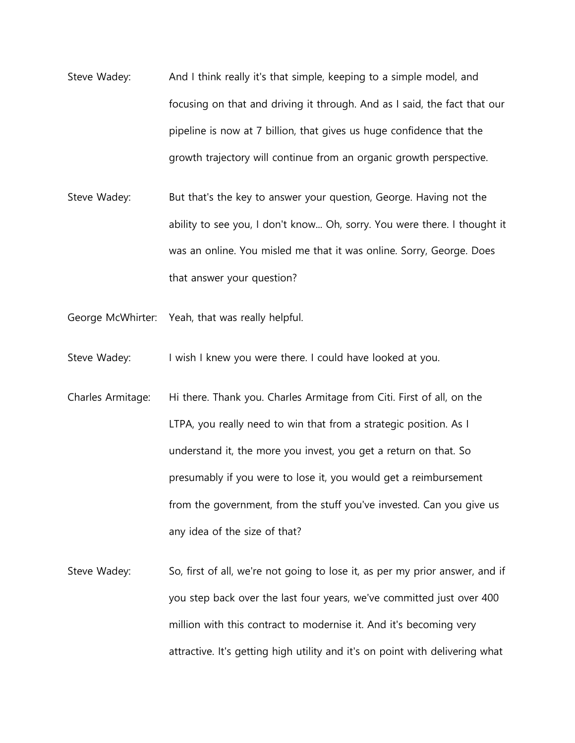- Steve Wadey: And I think really it's that simple, keeping to a simple model, and focusing on that and driving it through. And as I said, the fact that our pipeline is now at 7 billion, that gives us huge confidence that the growth trajectory will continue from an organic growth perspective.
- Steve Wadey: But that's the key to answer your question, George. Having not the ability to see you, I don't know... Oh, sorry. You were there. I thought it was an online. You misled me that it was online. Sorry, George. Does that answer your question?
- George McWhirter: Yeah, that was really helpful.
- Steve Wadey: I wish I knew you were there. I could have looked at you.
- Charles Armitage: Hi there. Thank you. Charles Armitage from Citi. First of all, on the LTPA, you really need to win that from a strategic position. As I understand it, the more you invest, you get a return on that. So presumably if you were to lose it, you would get a reimbursement from the government, from the stuff you've invested. Can you give us any idea of the size of that?
- Steve Wadey: So, first of all, we're not going to lose it, as per my prior answer, and if you step back over the last four years, we've committed just over 400 million with this contract to modernise it. And it's becoming very attractive. It's getting high utility and it's on point with delivering what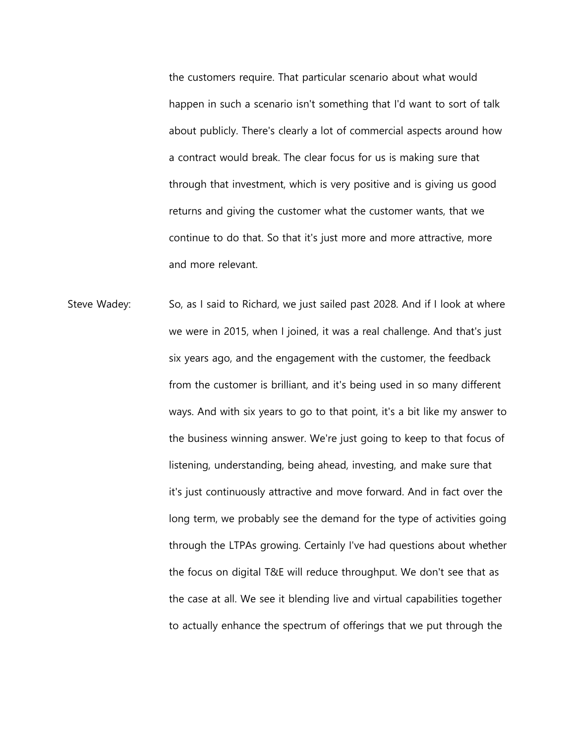the customers require. That particular scenario about what would happen in such a scenario isn't something that I'd want to sort of talk about publicly. There's clearly a lot of commercial aspects around how a contract would break. The clear focus for us is making sure that through that investment, which is very positive and is giving us good returns and giving the customer what the customer wants, that we continue to do that. So that it's just more and more attractive, more and more relevant.

Steve Wadey: So, as I said to Richard, we just sailed past 2028. And if I look at where we were in 2015, when I joined, it was a real challenge. And that's just six years ago, and the engagement with the customer, the feedback from the customer is brilliant, and it's being used in so many different ways. And with six years to go to that point, it's a bit like my answer to the business winning answer. We're just going to keep to that focus of listening, understanding, being ahead, investing, and make sure that it's just continuously attractive and move forward. And in fact over the long term, we probably see the demand for the type of activities going through the LTPAs growing. Certainly I've had questions about whether the focus on digital T&E will reduce throughput. We don't see that as the case at all. We see it blending live and virtual capabilities together to actually enhance the spectrum of offerings that we put through the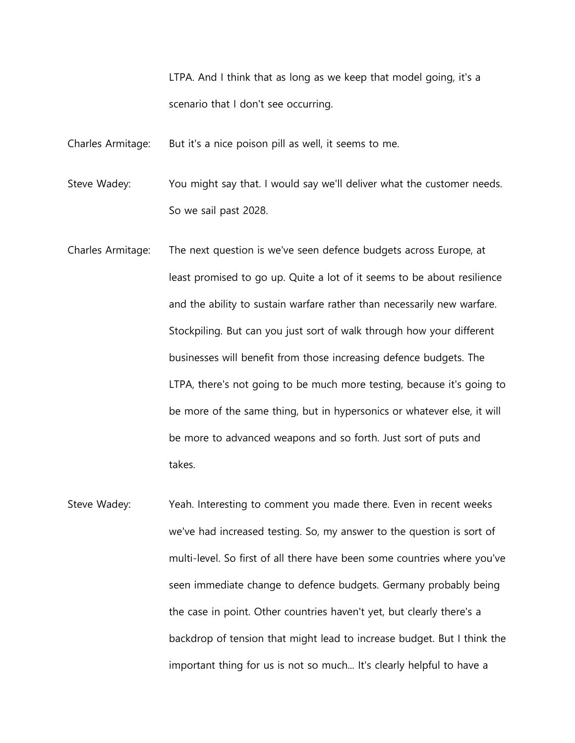LTPA. And I think that as long as we keep that model going, it's a scenario that I don't see occurring.

Charles Armitage: But it's a nice poison pill as well, it seems to me.

Steve Wadey: You might say that. I would say we'll deliver what the customer needs. So we sail past 2028.

- Charles Armitage: The next question is we've seen defence budgets across Europe, at least promised to go up. Quite a lot of it seems to be about resilience and the ability to sustain warfare rather than necessarily new warfare. Stockpiling. But can you just sort of walk through how your different businesses will benefit from those increasing defence budgets. The LTPA, there's not going to be much more testing, because it's going to be more of the same thing, but in hypersonics or whatever else, it will be more to advanced weapons and so forth. Just sort of puts and takes.
- Steve Wadey: Yeah. Interesting to comment you made there. Even in recent weeks we've had increased testing. So, my answer to the question is sort of multi-level. So first of all there have been some countries where you've seen immediate change to defence budgets. Germany probably being the case in point. Other countries haven't yet, but clearly there's a backdrop of tension that might lead to increase budget. But I think the important thing for us is not so much... It's clearly helpful to have a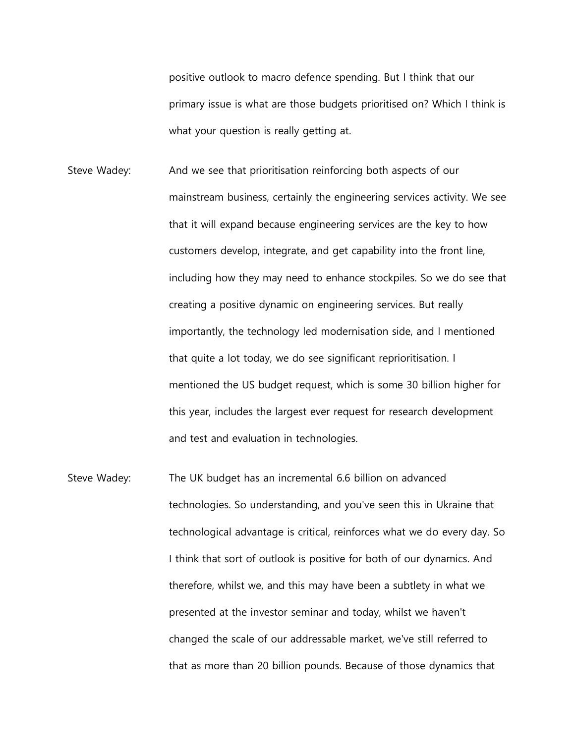positive outlook to macro defence spending. But I think that our primary issue is what are those budgets prioritised on? Which I think is what your question is really getting at.

- Steve Wadey: And we see that prioritisation reinforcing both aspects of our mainstream business, certainly the engineering services activity. We see that it will expand because engineering services are the key to how customers develop, integrate, and get capability into the front line, including how they may need to enhance stockpiles. So we do see that creating a positive dynamic on engineering services. But really importantly, the technology led modernisation side, and I mentioned that quite a lot today, we do see significant reprioritisation. I mentioned the US budget request, which is some 30 billion higher for this year, includes the largest ever request for research development and test and evaluation in technologies.
- Steve Wadey: The UK budget has an incremental 6.6 billion on advanced technologies. So understanding, and you've seen this in Ukraine that technological advantage is critical, reinforces what we do every day. So I think that sort of outlook is positive for both of our dynamics. And therefore, whilst we, and this may have been a subtlety in what we presented at the investor seminar and today, whilst we haven't changed the scale of our addressable market, we've still referred to that as more than 20 billion pounds. Because of those dynamics that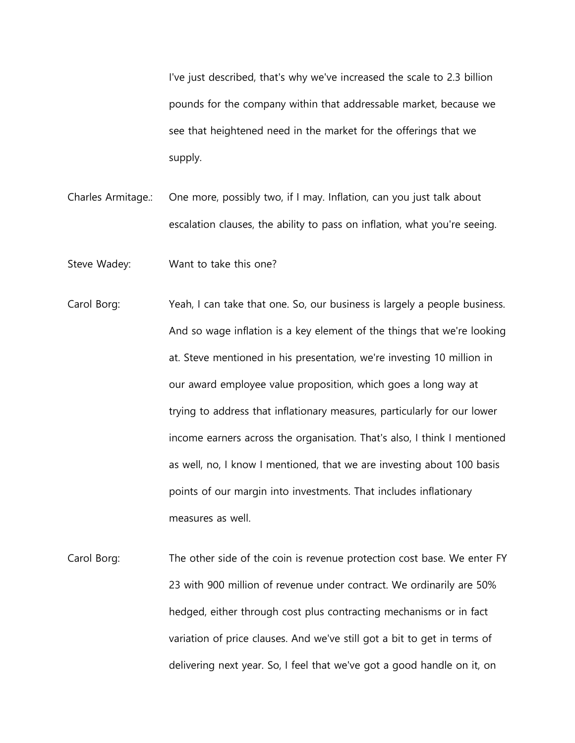I've just described, that's why we've increased the scale to 2.3 billion pounds for the company within that addressable market, because we see that heightened need in the market for the offerings that we supply.

Charles Armitage.: One more, possibly two, if I may. Inflation, can you just talk about escalation clauses, the ability to pass on inflation, what you're seeing.

Steve Wadey: Want to take this one?

- Carol Borg: Yeah, I can take that one. So, our business is largely a people business. And so wage inflation is a key element of the things that we're looking at. Steve mentioned in his presentation, we're investing 10 million in our award employee value proposition, which goes a long way at trying to address that inflationary measures, particularly for our lower income earners across the organisation. That's also, I think I mentioned as well, no, I know I mentioned, that we are investing about 100 basis points of our margin into investments. That includes inflationary measures as well.
- Carol Borg: The other side of the coin is revenue protection cost base. We enter FY 23 with 900 million of revenue under contract. We ordinarily are 50% hedged, either through cost plus contracting mechanisms or in fact variation of price clauses. And we've still got a bit to get in terms of delivering next year. So, I feel that we've got a good handle on it, on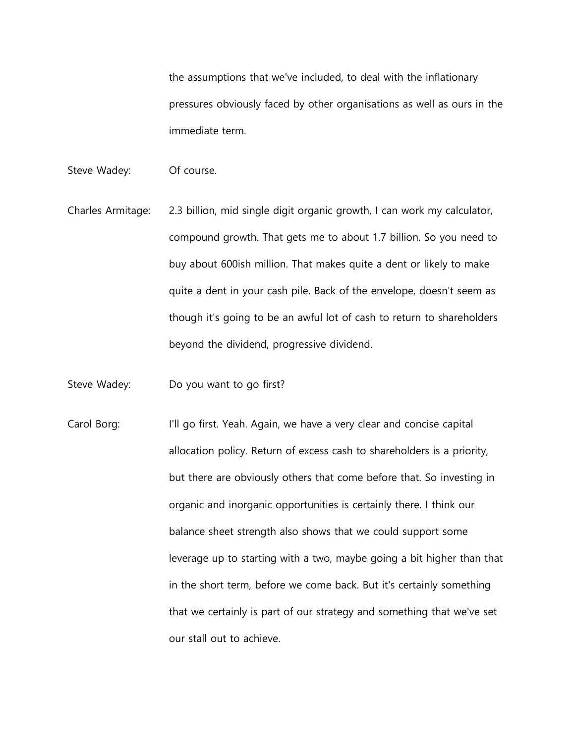the assumptions that we've included, to deal with the inflationary pressures obviously faced by other organisations as well as ours in the immediate term.

- Steve Wadey: Of course.
- Charles Armitage: 2.3 billion, mid single digit organic growth, I can work my calculator, compound growth. That gets me to about 1.7 billion. So you need to buy about 600ish million. That makes quite a dent or likely to make quite a dent in your cash pile. Back of the envelope, doesn't seem as though it's going to be an awful lot of cash to return to shareholders beyond the dividend, progressive dividend.
- Steve Wadey: Do you want to go first?
- Carol Borg: I'll go first. Yeah. Again, we have a very clear and concise capital allocation policy. Return of excess cash to shareholders is a priority, but there are obviously others that come before that. So investing in organic and inorganic opportunities is certainly there. I think our balance sheet strength also shows that we could support some leverage up to starting with a two, maybe going a bit higher than that in the short term, before we come back. But it's certainly something that we certainly is part of our strategy and something that we've set our stall out to achieve.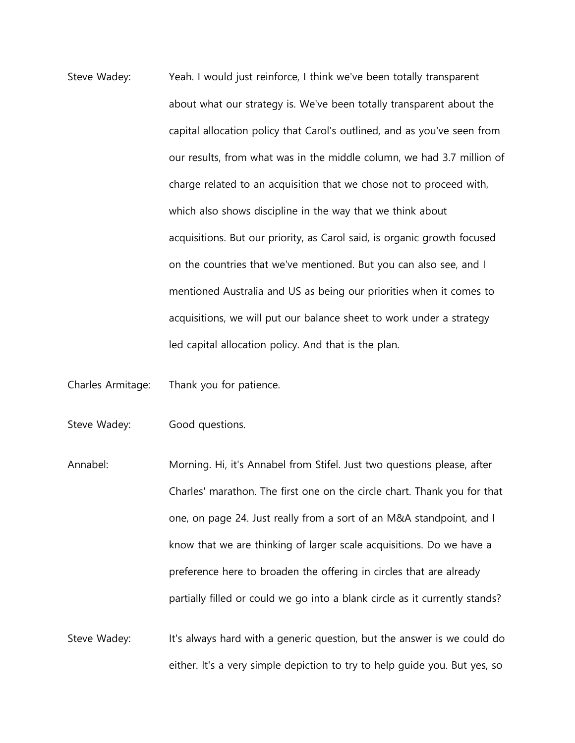- Steve Wadey: Yeah. I would just reinforce, I think we've been totally transparent about what our strategy is. We've been totally transparent about the capital allocation policy that Carol's outlined, and as you've seen from our results, from what was in the middle column, we had 3.7 million of charge related to an acquisition that we chose not to proceed with, which also shows discipline in the way that we think about acquisitions. But our priority, as Carol said, is organic growth focused on the countries that we've mentioned. But you can also see, and I mentioned Australia and US as being our priorities when it comes to acquisitions, we will put our balance sheet to work under a strategy led capital allocation policy. And that is the plan.
- Charles Armitage: Thank you for patience.

Steve Wadey: Good questions.

- Annabel: Morning. Hi, it's Annabel from Stifel. Just two questions please, after Charles' marathon. The first one on the circle chart. Thank you for that one, on page 24. Just really from a sort of an M&A standpoint, and I know that we are thinking of larger scale acquisitions. Do we have a preference here to broaden the offering in circles that are already partially filled or could we go into a blank circle as it currently stands?
- Steve Wadey: It's always hard with a generic question, but the answer is we could do either. It's a very simple depiction to try to help guide you. But yes, so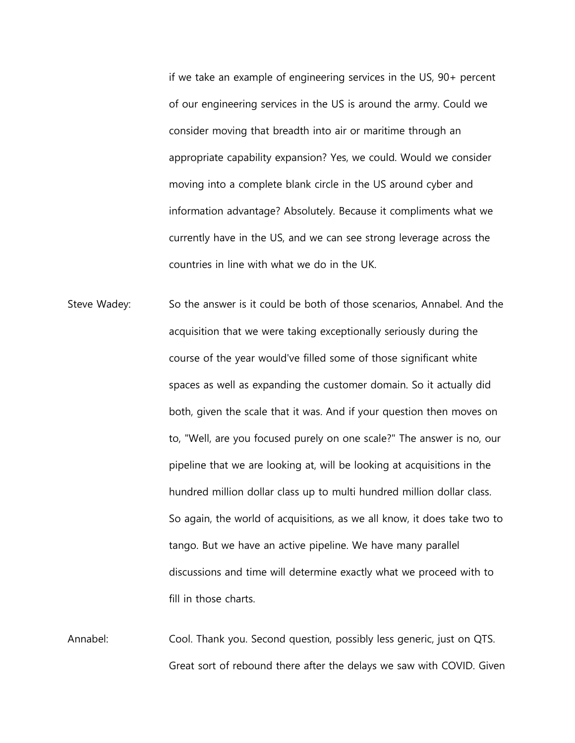if we take an example of engineering services in the US, 90+ percent of our engineering services in the US is around the army. Could we consider moving that breadth into air or maritime through an appropriate capability expansion? Yes, we could. Would we consider moving into a complete blank circle in the US around cyber and information advantage? Absolutely. Because it compliments what we currently have in the US, and we can see strong leverage across the countries in line with what we do in the UK.

Steve Wadey: So the answer is it could be both of those scenarios, Annabel. And the acquisition that we were taking exceptionally seriously during the course of the year would've filled some of those significant white spaces as well as expanding the customer domain. So it actually did both, given the scale that it was. And if your question then moves on to, "Well, are you focused purely on one scale?" The answer is no, our pipeline that we are looking at, will be looking at acquisitions in the hundred million dollar class up to multi hundred million dollar class. So again, the world of acquisitions, as we all know, it does take two to tango. But we have an active pipeline. We have many parallel discussions and time will determine exactly what we proceed with to fill in those charts.

Annabel: Cool. Thank you. Second question, possibly less generic, just on QTS. Great sort of rebound there after the delays we saw with COVID. Given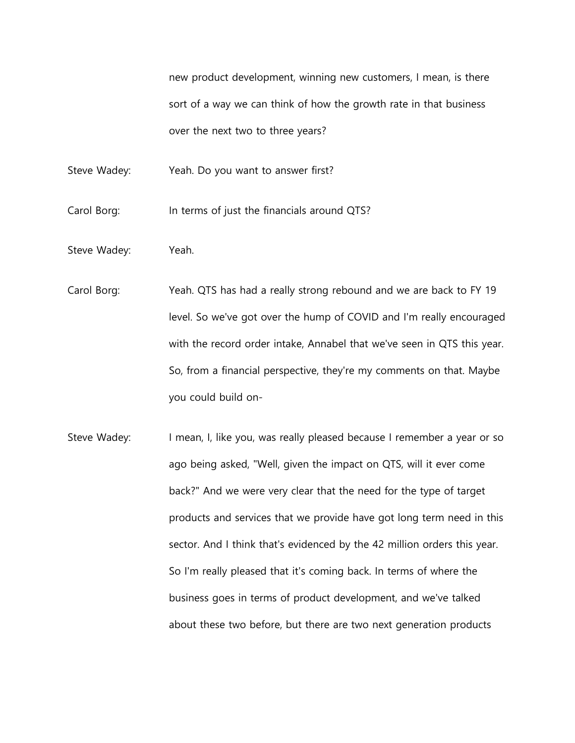new product development, winning new customers, I mean, is there sort of a way we can think of how the growth rate in that business over the next two to three years?

Steve Wadey: Yeah. Do you want to answer first?

Carol Borg: In terms of just the financials around QTS?

- Steve Wadey: Yeah.
- Carol Borg: Yeah. QTS has had a really strong rebound and we are back to FY 19 level. So we've got over the hump of COVID and I'm really encouraged with the record order intake, Annabel that we've seen in QTS this year. So, from a financial perspective, they're my comments on that. Maybe you could build on-
- Steve Wadey: I mean, I, like you, was really pleased because I remember a year or so ago being asked, "Well, given the impact on QTS, will it ever come back?" And we were very clear that the need for the type of target products and services that we provide have got long term need in this sector. And I think that's evidenced by the 42 million orders this year. So I'm really pleased that it's coming back. In terms of where the business goes in terms of product development, and we've talked about these two before, but there are two next generation products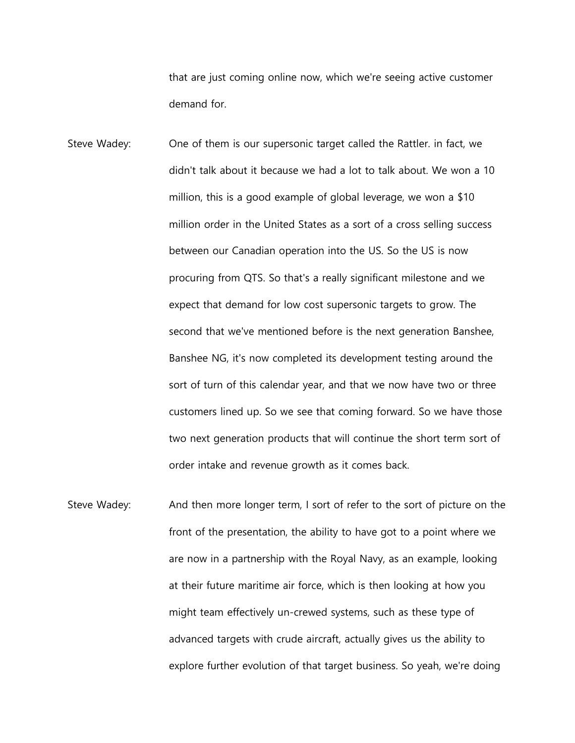that are just coming online now, which we're seeing active customer demand for.

- Steve Wadey: One of them is our supersonic target called the Rattler. in fact, we didn't talk about it because we had a lot to talk about. We won a 10 million, this is a good example of global leverage, we won a \$10 million order in the United States as a sort of a cross selling success between our Canadian operation into the US. So the US is now procuring from QTS. So that's a really significant milestone and we expect that demand for low cost supersonic targets to grow. The second that we've mentioned before is the next generation Banshee, Banshee NG, it's now completed its development testing around the sort of turn of this calendar year, and that we now have two or three customers lined up. So we see that coming forward. So we have those two next generation products that will continue the short term sort of order intake and revenue growth as it comes back.
- Steve Wadey: And then more longer term, I sort of refer to the sort of picture on the front of the presentation, the ability to have got to a point where we are now in a partnership with the Royal Navy, as an example, looking at their future maritime air force, which is then looking at how you might team effectively un-crewed systems, such as these type of advanced targets with crude aircraft, actually gives us the ability to explore further evolution of that target business. So yeah, we're doing